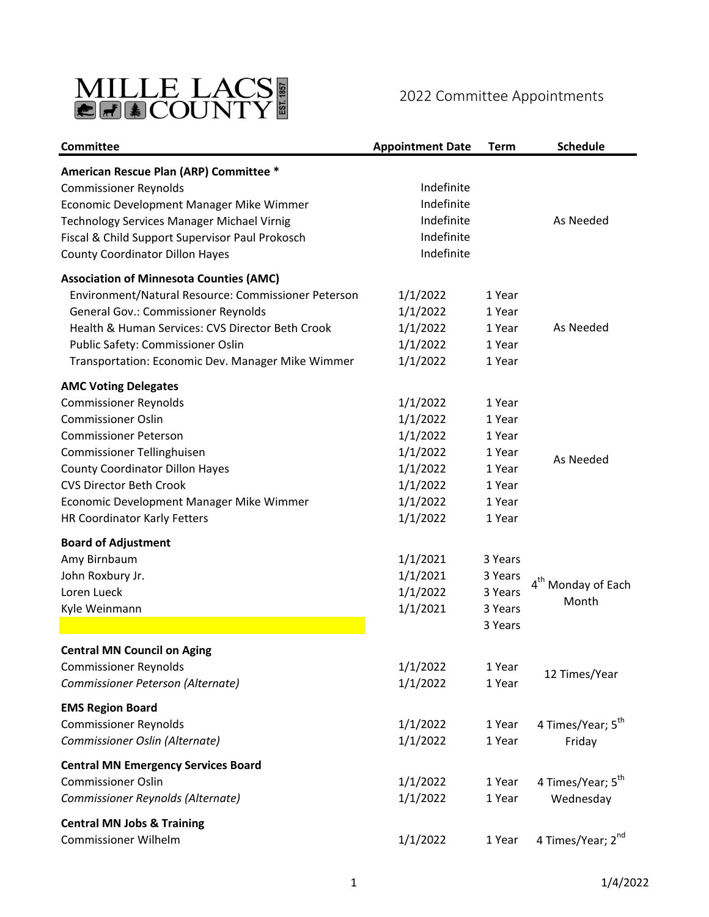

## 2022 Committee Appointments

| Committee                                           | <b>Appointment Date</b> | <b>Term</b> | <b>Schedule</b>                |
|-----------------------------------------------------|-------------------------|-------------|--------------------------------|
| American Rescue Plan (ARP) Committee *              |                         |             |                                |
| <b>Commissioner Reynolds</b>                        | Indefinite              |             |                                |
| Economic Development Manager Mike Wimmer            | Indefinite              |             |                                |
| Technology Services Manager Michael Virnig          | Indefinite              |             | As Needed                      |
| Fiscal & Child Support Supervisor Paul Prokosch     | Indefinite              |             |                                |
| <b>County Coordinator Dillon Hayes</b>              | Indefinite              |             |                                |
| <b>Association of Minnesota Counties (AMC)</b>      |                         |             |                                |
| Environment/Natural Resource: Commissioner Peterson | 1/1/2022                | 1 Year      |                                |
| <b>General Gov.: Commissioner Reynolds</b>          | 1/1/2022                | 1 Year      |                                |
| Health & Human Services: CVS Director Beth Crook    | 1/1/2022                | 1 Year      | As Needed                      |
| Public Safety: Commissioner Oslin                   | 1/1/2022                | 1 Year      |                                |
| Transportation: Economic Dev. Manager Mike Wimmer   | 1/1/2022                | 1 Year      |                                |
| <b>AMC Voting Delegates</b>                         |                         |             |                                |
| <b>Commissioner Reynolds</b>                        | 1/1/2022                | 1 Year      |                                |
| <b>Commissioner Oslin</b>                           | 1/1/2022                | 1 Year      |                                |
| <b>Commissioner Peterson</b>                        | 1/1/2022                | 1 Year      |                                |
| Commissioner Tellinghuisen                          | 1/1/2022                | 1 Year      |                                |
| <b>County Coordinator Dillon Hayes</b>              | 1/1/2022                | 1 Year      | As Needed                      |
| <b>CVS Director Beth Crook</b>                      | 1/1/2022                | 1 Year      |                                |
| Economic Development Manager Mike Wimmer            | 1/1/2022                | 1 Year      |                                |
| HR Coordinator Karly Fetters                        | 1/1/2022                | 1 Year      |                                |
| <b>Board of Adjustment</b>                          |                         |             |                                |
| Amy Birnbaum                                        | 1/1/2021                | 3 Years     |                                |
| John Roxbury Jr.                                    | 1/1/2021                | 3 Years     |                                |
| Loren Lueck                                         | 1/1/2022                | 3 Years     | 4 <sup>th</sup> Monday of Each |
| Kyle Weinmann                                       | 1/1/2021                | 3 Years     | Month                          |
|                                                     |                         | 3 Years     |                                |
| <b>Central MN Council on Aging</b>                  |                         |             |                                |
| <b>Commissioner Reynolds</b>                        | 1/1/2022                | 1 Year      |                                |
| Commissioner Peterson (Alternate)                   | 1/1/2022                | 1 Year      | 12 Times/Year                  |
|                                                     |                         |             |                                |
| <b>EMS Region Board</b>                             |                         |             |                                |
| <b>Commissioner Reynolds</b>                        | 1/1/2022                | 1 Year      | 4 Times/Year; 5 <sup>th</sup>  |
| Commissioner Oslin (Alternate)                      | 1/1/2022                | 1 Year      | Friday                         |
| <b>Central MN Emergency Services Board</b>          |                         |             |                                |
| <b>Commissioner Oslin</b>                           | 1/1/2022                | 1 Year      | 4 Times/Year; 5 <sup>th</sup>  |
| Commissioner Reynolds (Alternate)                   | 1/1/2022                | 1 Year      | Wednesday                      |
| <b>Central MN Jobs &amp; Training</b>               |                         |             |                                |
| <b>Commissioner Wilhelm</b>                         | 1/1/2022                | 1 Year      | 4 Times/Year; 2 <sup>nd</sup>  |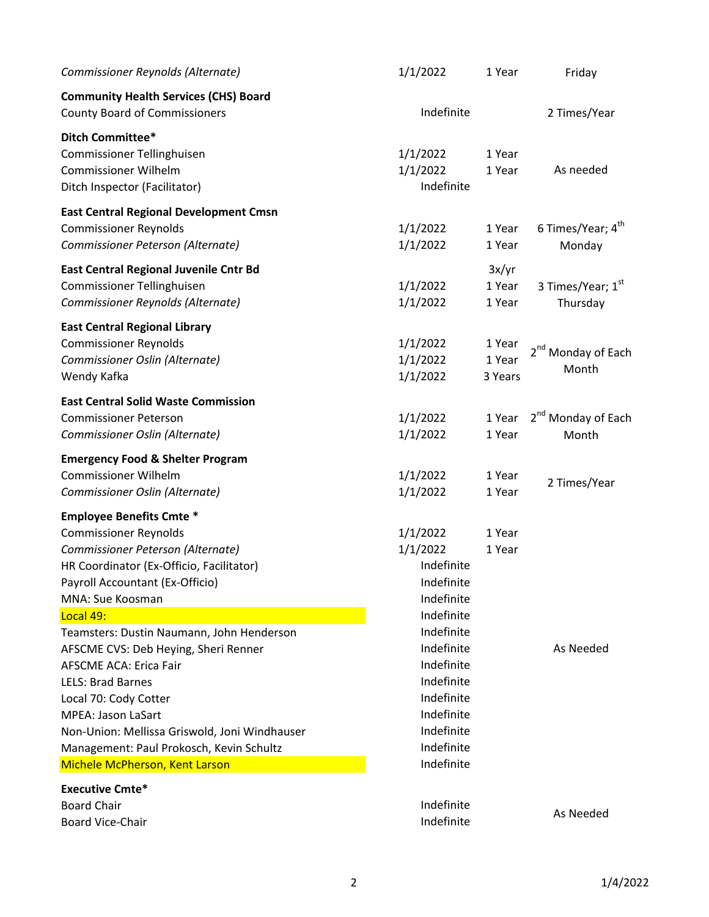| Indefinite<br><b>County Board of Commissioners</b><br>2 Times/Year<br>1/1/2022<br>1 Year<br>1/1/2022<br>As needed<br>1 Year<br>Indefinite<br>6 Times/Year; 4 <sup>th</sup><br>1/1/2022<br>1 Year<br>Commissioner Peterson (Alternate)<br>1/1/2022<br>1 Year<br>Monday<br>3x/yr<br>3 Times/Year; 1st<br>1/1/2022<br>1 Year<br>1/1/2022<br>1 Year<br>Thursday<br>1/1/2022<br>1 Year<br>2 <sup>nd</sup> Monday of Each<br>Commissioner Oslin (Alternate)<br>1/1/2022<br>1 Year<br>Month<br>1/1/2022<br>3 Years<br>2 <sup>nd</sup> Monday of Each<br>1/1/2022<br>1 Year<br>1/1/2022<br>1 Year<br>Month<br>1/1/2022<br>1 Year<br>2 Times/Year<br>1/1/2022<br>1 Year<br>1/1/2022<br>1 Year<br>1/1/2022<br>1 Year<br>Indefinite<br>HR Coordinator (Ex-Officio, Facilitator)<br>Indefinite<br>Indefinite<br>Indefinite<br>Indefinite<br>Indefinite<br>As Needed<br>Indefinite<br>Indefinite<br>Indefinite<br>Indefinite<br>Indefinite<br>Non-Union: Mellissa Griswold, Joni Windhauser<br>Indefinite<br>Management: Paul Prokosch, Kevin Schultz<br>Indefinite<br>Indefinite<br>As Needed | Commissioner Reynolds (Alternate)             | 1/1/2022   | 1 Year | Friday |
|-----------------------------------------------------------------------------------------------------------------------------------------------------------------------------------------------------------------------------------------------------------------------------------------------------------------------------------------------------------------------------------------------------------------------------------------------------------------------------------------------------------------------------------------------------------------------------------------------------------------------------------------------------------------------------------------------------------------------------------------------------------------------------------------------------------------------------------------------------------------------------------------------------------------------------------------------------------------------------------------------------------------------------------------------------------------------------------|-----------------------------------------------|------------|--------|--------|
|                                                                                                                                                                                                                                                                                                                                                                                                                                                                                                                                                                                                                                                                                                                                                                                                                                                                                                                                                                                                                                                                                   | <b>Community Health Services (CHS) Board</b>  |            |        |        |
|                                                                                                                                                                                                                                                                                                                                                                                                                                                                                                                                                                                                                                                                                                                                                                                                                                                                                                                                                                                                                                                                                   | Ditch Committee*                              |            |        |        |
|                                                                                                                                                                                                                                                                                                                                                                                                                                                                                                                                                                                                                                                                                                                                                                                                                                                                                                                                                                                                                                                                                   | Commissioner Tellinghuisen                    |            |        |        |
|                                                                                                                                                                                                                                                                                                                                                                                                                                                                                                                                                                                                                                                                                                                                                                                                                                                                                                                                                                                                                                                                                   | <b>Commissioner Wilhelm</b>                   |            |        |        |
|                                                                                                                                                                                                                                                                                                                                                                                                                                                                                                                                                                                                                                                                                                                                                                                                                                                                                                                                                                                                                                                                                   | Ditch Inspector (Facilitator)                 |            |        |        |
|                                                                                                                                                                                                                                                                                                                                                                                                                                                                                                                                                                                                                                                                                                                                                                                                                                                                                                                                                                                                                                                                                   | <b>East Central Regional Development Cmsn</b> |            |        |        |
|                                                                                                                                                                                                                                                                                                                                                                                                                                                                                                                                                                                                                                                                                                                                                                                                                                                                                                                                                                                                                                                                                   | <b>Commissioner Reynolds</b>                  |            |        |        |
|                                                                                                                                                                                                                                                                                                                                                                                                                                                                                                                                                                                                                                                                                                                                                                                                                                                                                                                                                                                                                                                                                   |                                               |            |        |        |
|                                                                                                                                                                                                                                                                                                                                                                                                                                                                                                                                                                                                                                                                                                                                                                                                                                                                                                                                                                                                                                                                                   | East Central Regional Juvenile Cntr Bd        |            |        |        |
|                                                                                                                                                                                                                                                                                                                                                                                                                                                                                                                                                                                                                                                                                                                                                                                                                                                                                                                                                                                                                                                                                   | Commissioner Tellinghuisen                    |            |        |        |
|                                                                                                                                                                                                                                                                                                                                                                                                                                                                                                                                                                                                                                                                                                                                                                                                                                                                                                                                                                                                                                                                                   | Commissioner Reynolds (Alternate)             |            |        |        |
|                                                                                                                                                                                                                                                                                                                                                                                                                                                                                                                                                                                                                                                                                                                                                                                                                                                                                                                                                                                                                                                                                   | <b>East Central Regional Library</b>          |            |        |        |
|                                                                                                                                                                                                                                                                                                                                                                                                                                                                                                                                                                                                                                                                                                                                                                                                                                                                                                                                                                                                                                                                                   | <b>Commissioner Reynolds</b>                  |            |        |        |
|                                                                                                                                                                                                                                                                                                                                                                                                                                                                                                                                                                                                                                                                                                                                                                                                                                                                                                                                                                                                                                                                                   |                                               |            |        |        |
|                                                                                                                                                                                                                                                                                                                                                                                                                                                                                                                                                                                                                                                                                                                                                                                                                                                                                                                                                                                                                                                                                   | Wendy Kafka                                   |            |        |        |
|                                                                                                                                                                                                                                                                                                                                                                                                                                                                                                                                                                                                                                                                                                                                                                                                                                                                                                                                                                                                                                                                                   | <b>East Central Solid Waste Commission</b>    |            |        |        |
|                                                                                                                                                                                                                                                                                                                                                                                                                                                                                                                                                                                                                                                                                                                                                                                                                                                                                                                                                                                                                                                                                   | <b>Commissioner Peterson</b>                  |            |        |        |
|                                                                                                                                                                                                                                                                                                                                                                                                                                                                                                                                                                                                                                                                                                                                                                                                                                                                                                                                                                                                                                                                                   | Commissioner Oslin (Alternate)                |            |        |        |
|                                                                                                                                                                                                                                                                                                                                                                                                                                                                                                                                                                                                                                                                                                                                                                                                                                                                                                                                                                                                                                                                                   | <b>Emergency Food &amp; Shelter Program</b>   |            |        |        |
|                                                                                                                                                                                                                                                                                                                                                                                                                                                                                                                                                                                                                                                                                                                                                                                                                                                                                                                                                                                                                                                                                   | <b>Commissioner Wilhelm</b>                   |            |        |        |
|                                                                                                                                                                                                                                                                                                                                                                                                                                                                                                                                                                                                                                                                                                                                                                                                                                                                                                                                                                                                                                                                                   | Commissioner Oslin (Alternate)                |            |        |        |
|                                                                                                                                                                                                                                                                                                                                                                                                                                                                                                                                                                                                                                                                                                                                                                                                                                                                                                                                                                                                                                                                                   | <b>Employee Benefits Cmte *</b>               |            |        |        |
|                                                                                                                                                                                                                                                                                                                                                                                                                                                                                                                                                                                                                                                                                                                                                                                                                                                                                                                                                                                                                                                                                   | <b>Commissioner Reynolds</b>                  |            |        |        |
|                                                                                                                                                                                                                                                                                                                                                                                                                                                                                                                                                                                                                                                                                                                                                                                                                                                                                                                                                                                                                                                                                   | Commissioner Peterson (Alternate)             |            |        |        |
|                                                                                                                                                                                                                                                                                                                                                                                                                                                                                                                                                                                                                                                                                                                                                                                                                                                                                                                                                                                                                                                                                   |                                               |            |        |        |
|                                                                                                                                                                                                                                                                                                                                                                                                                                                                                                                                                                                                                                                                                                                                                                                                                                                                                                                                                                                                                                                                                   | Payroll Accountant (Ex-Officio)               |            |        |        |
|                                                                                                                                                                                                                                                                                                                                                                                                                                                                                                                                                                                                                                                                                                                                                                                                                                                                                                                                                                                                                                                                                   | MNA: Sue Koosman                              |            |        |        |
|                                                                                                                                                                                                                                                                                                                                                                                                                                                                                                                                                                                                                                                                                                                                                                                                                                                                                                                                                                                                                                                                                   | Local 49:                                     |            |        |        |
|                                                                                                                                                                                                                                                                                                                                                                                                                                                                                                                                                                                                                                                                                                                                                                                                                                                                                                                                                                                                                                                                                   | Teamsters: Dustin Naumann, John Henderson     |            |        |        |
|                                                                                                                                                                                                                                                                                                                                                                                                                                                                                                                                                                                                                                                                                                                                                                                                                                                                                                                                                                                                                                                                                   | AFSCME CVS: Deb Heying, Sheri Renner          |            |        |        |
|                                                                                                                                                                                                                                                                                                                                                                                                                                                                                                                                                                                                                                                                                                                                                                                                                                                                                                                                                                                                                                                                                   | <b>AFSCME ACA: Erica Fair</b>                 |            |        |        |
|                                                                                                                                                                                                                                                                                                                                                                                                                                                                                                                                                                                                                                                                                                                                                                                                                                                                                                                                                                                                                                                                                   | <b>LELS: Brad Barnes</b>                      |            |        |        |
|                                                                                                                                                                                                                                                                                                                                                                                                                                                                                                                                                                                                                                                                                                                                                                                                                                                                                                                                                                                                                                                                                   | Local 70: Cody Cotter                         |            |        |        |
|                                                                                                                                                                                                                                                                                                                                                                                                                                                                                                                                                                                                                                                                                                                                                                                                                                                                                                                                                                                                                                                                                   | <b>MPEA: Jason LaSart</b>                     |            |        |        |
|                                                                                                                                                                                                                                                                                                                                                                                                                                                                                                                                                                                                                                                                                                                                                                                                                                                                                                                                                                                                                                                                                   |                                               |            |        |        |
|                                                                                                                                                                                                                                                                                                                                                                                                                                                                                                                                                                                                                                                                                                                                                                                                                                                                                                                                                                                                                                                                                   |                                               |            |        |        |
|                                                                                                                                                                                                                                                                                                                                                                                                                                                                                                                                                                                                                                                                                                                                                                                                                                                                                                                                                                                                                                                                                   | Michele McPherson, Kent Larson                |            |        |        |
|                                                                                                                                                                                                                                                                                                                                                                                                                                                                                                                                                                                                                                                                                                                                                                                                                                                                                                                                                                                                                                                                                   | <b>Executive Cmte*</b>                        |            |        |        |
|                                                                                                                                                                                                                                                                                                                                                                                                                                                                                                                                                                                                                                                                                                                                                                                                                                                                                                                                                                                                                                                                                   | <b>Board Chair</b>                            |            |        |        |
|                                                                                                                                                                                                                                                                                                                                                                                                                                                                                                                                                                                                                                                                                                                                                                                                                                                                                                                                                                                                                                                                                   | <b>Board Vice-Chair</b>                       | Indefinite |        |        |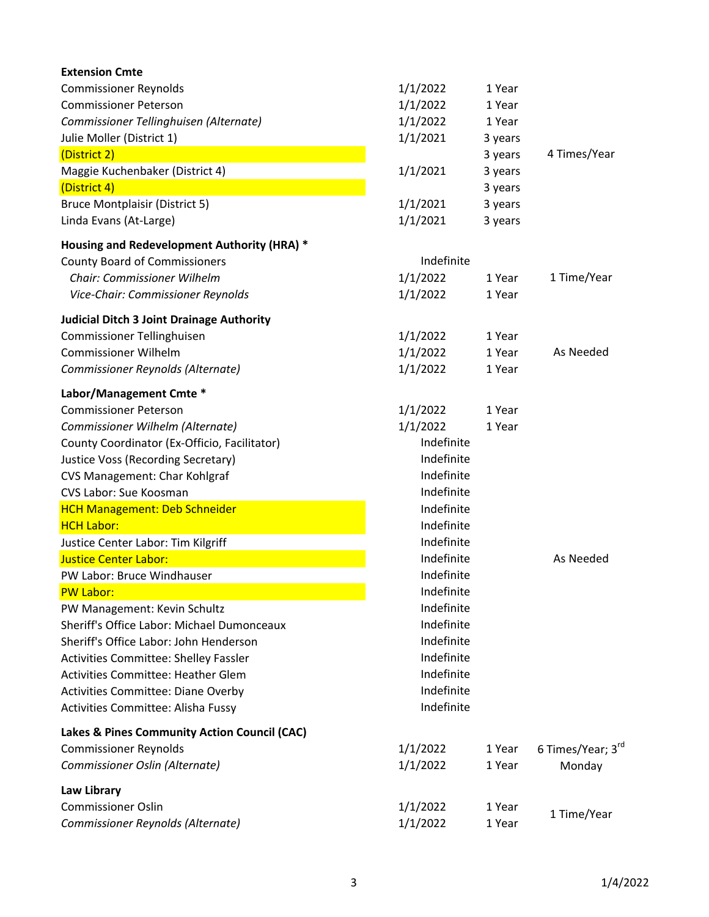| <b>Extension Cmte</b>                            |            |         |                   |
|--------------------------------------------------|------------|---------|-------------------|
| <b>Commissioner Reynolds</b>                     | 1/1/2022   | 1 Year  |                   |
| <b>Commissioner Peterson</b>                     | 1/1/2022   | 1 Year  |                   |
| Commissioner Tellinghuisen (Alternate)           | 1/1/2022   | 1 Year  |                   |
| Julie Moller (District 1)                        | 1/1/2021   | 3 years |                   |
| (District 2)                                     |            | 3 years | 4 Times/Year      |
| Maggie Kuchenbaker (District 4)                  | 1/1/2021   | 3 years |                   |
| (District 4)                                     |            | 3 years |                   |
| <b>Bruce Montplaisir (District 5)</b>            | 1/1/2021   | 3 years |                   |
| Linda Evans (At-Large)                           | 1/1/2021   | 3 years |                   |
| Housing and Redevelopment Authority (HRA) *      |            |         |                   |
| <b>County Board of Commissioners</b>             | Indefinite |         |                   |
| <b>Chair: Commissioner Wilhelm</b>               | 1/1/2022   | 1 Year  | 1 Time/Year       |
| Vice-Chair: Commissioner Reynolds                | 1/1/2022   | 1 Year  |                   |
| <b>Judicial Ditch 3 Joint Drainage Authority</b> |            |         |                   |
| Commissioner Tellinghuisen                       | 1/1/2022   | 1 Year  |                   |
| <b>Commissioner Wilhelm</b>                      | 1/1/2022   | 1 Year  | As Needed         |
| Commissioner Reynolds (Alternate)                | 1/1/2022   | 1 Year  |                   |
| Labor/Management Cmte *                          |            |         |                   |
| <b>Commissioner Peterson</b>                     | 1/1/2022   | 1 Year  |                   |
| Commissioner Wilhelm (Alternate)                 | 1/1/2022   | 1 Year  |                   |
| County Coordinator (Ex-Officio, Facilitator)     | Indefinite |         |                   |
| <b>Justice Voss (Recording Secretary)</b>        | Indefinite |         |                   |
| CVS Management: Char Kohlgraf                    | Indefinite |         |                   |
| CVS Labor: Sue Koosman                           | Indefinite |         |                   |
| <b>HCH Management: Deb Schneider</b>             | Indefinite |         |                   |
| <b>HCH Labor:</b>                                | Indefinite |         |                   |
| Justice Center Labor: Tim Kilgriff               | Indefinite |         |                   |
| <b>Justice Center Labor:</b>                     | Indefinite |         | As Needed         |
| PW Labor: Bruce Windhauser                       | Indefinite |         |                   |
| <b>PW Labor:</b>                                 | Indefinite |         |                   |
| PW Management: Kevin Schultz                     | Indefinite |         |                   |
| Sheriff's Office Labor: Michael Dumonceaux       | Indefinite |         |                   |
| Sheriff's Office Labor: John Henderson           | Indefinite |         |                   |
| <b>Activities Committee: Shelley Fassler</b>     | Indefinite |         |                   |
| Activities Committee: Heather Glem               | Indefinite |         |                   |
| <b>Activities Committee: Diane Overby</b>        | Indefinite |         |                   |
| Activities Committee: Alisha Fussy               | Indefinite |         |                   |
| Lakes & Pines Community Action Council (CAC)     |            |         |                   |
| <b>Commissioner Reynolds</b>                     | 1/1/2022   | 1 Year  | 6 Times/Year; 3rd |
| Commissioner Oslin (Alternate)                   | 1/1/2022   | 1 Year  | Monday            |
| <b>Law Library</b>                               |            |         |                   |
| <b>Commissioner Oslin</b>                        | 1/1/2022   | 1 Year  |                   |
| Commissioner Reynolds (Alternate)                | 1/1/2022   | 1 Year  | 1 Time/Year       |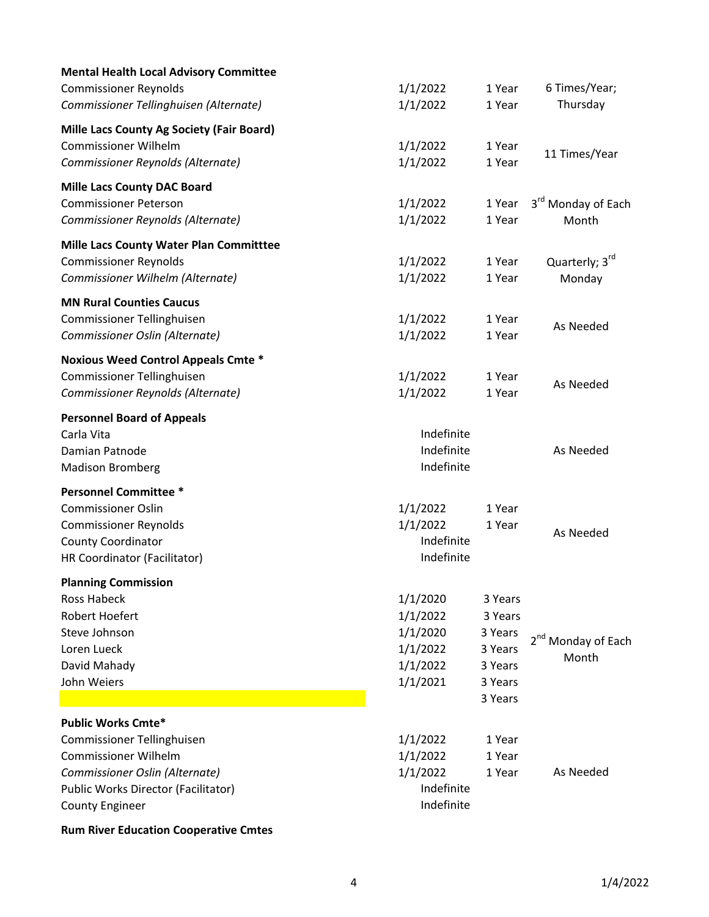| <b>Mental Health Local Advisory Committee</b>    |            |         |                                |
|--------------------------------------------------|------------|---------|--------------------------------|
| <b>Commissioner Reynolds</b>                     | 1/1/2022   | 1 Year  | 6 Times/Year;                  |
| Commissioner Tellinghuisen (Alternate)           | 1/1/2022   | 1 Year  | Thursday                       |
| <b>Mille Lacs County Ag Society (Fair Board)</b> |            |         |                                |
| <b>Commissioner Wilhelm</b>                      | 1/1/2022   | 1 Year  | 11 Times/Year                  |
| Commissioner Reynolds (Alternate)                | 1/1/2022   | 1 Year  |                                |
| <b>Mille Lacs County DAC Board</b>               |            |         |                                |
| <b>Commissioner Peterson</b>                     | 1/1/2022   | 1 Year  | 3 <sup>rd</sup> Monday of Each |
| Commissioner Reynolds (Alternate)                | 1/1/2022   | 1 Year  | Month                          |
| <b>Mille Lacs County Water Plan Committtee</b>   |            |         |                                |
| <b>Commissioner Reynolds</b>                     | 1/1/2022   | 1 Year  | Quarterly; 3rd                 |
| Commissioner Wilhelm (Alternate)                 | 1/1/2022   | 1 Year  | Monday                         |
| <b>MN Rural Counties Caucus</b>                  |            |         |                                |
| Commissioner Tellinghuisen                       | 1/1/2022   | 1 Year  | As Needed                      |
| Commissioner Oslin (Alternate)                   | 1/1/2022   | 1 Year  |                                |
| <b>Noxious Weed Control Appeals Cmte *</b>       |            |         |                                |
| Commissioner Tellinghuisen                       | 1/1/2022   | 1 Year  | As Needed                      |
| Commissioner Reynolds (Alternate)                | 1/1/2022   | 1 Year  |                                |
| <b>Personnel Board of Appeals</b>                |            |         |                                |
| Carla Vita                                       | Indefinite |         |                                |
| Damian Patnode                                   | Indefinite |         | As Needed                      |
| <b>Madison Bromberg</b>                          | Indefinite |         |                                |
| <b>Personnel Committee *</b>                     |            |         |                                |
| <b>Commissioner Oslin</b>                        | 1/1/2022   | 1 Year  |                                |
| <b>Commissioner Reynolds</b>                     | 1/1/2022   | 1 Year  | As Needed                      |
| <b>County Coordinator</b>                        | Indefinite |         |                                |
| HR Coordinator (Facilitator)                     | Indefinite |         |                                |
| <b>Planning Commission</b>                       |            |         |                                |
| <b>Ross Habeck</b>                               | 1/1/2020   | 3 Years |                                |
| <b>Robert Hoefert</b>                            | 1/1/2022   | 3 Years |                                |
| Steve Johnson                                    | 1/1/2020   | 3 Years | 2 <sup>nd</sup> Monday of Each |
| Loren Lueck                                      | 1/1/2022   | 3 Years | Month                          |
| David Mahady                                     | 1/1/2022   | 3 Years |                                |
| John Weiers                                      | 1/1/2021   | 3 Years |                                |
|                                                  |            | 3 Years |                                |
| <b>Public Works Cmte*</b>                        |            |         |                                |
| Commissioner Tellinghuisen                       | 1/1/2022   | 1 Year  |                                |
| <b>Commissioner Wilhelm</b>                      | 1/1/2022   | 1 Year  |                                |
| Commissioner Oslin (Alternate)                   | 1/1/2022   | 1 Year  | As Needed                      |
| Public Works Director (Facilitator)              | Indefinite |         |                                |
| <b>County Engineer</b>                           | Indefinite |         |                                |

**Rum River Education Cooperative Cmtes**